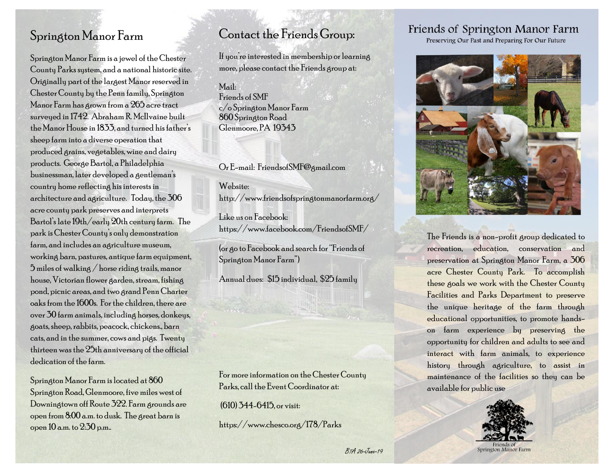### Springton Manor Farm

Springton Manor Farmis a jewel of the Chester County Parks system, and a national historic site. Originally part of the largest Manor reserved in Chester County by the Penn family, Springton Manor Farm has grown from a 265 acre tract surveyed in 1742. Abraham R. McIlvaine built the Manor House in 1833, and turned his father's sheep farm into a diverse operation that produced grains, vegetables, wine and dairy products. George Bartol, a Philadelphia businessman, later developed a gentleman's country home reflecting his interests in architecture and agriculture. Today, the 306 acre county park preserves and interprets Bartol's late 19th/early 20th century farm. The park is Chester County's only demonstration farm, and includes an agriculture museum, working barn, pastures, antique farm equipment,  $5$  miles of walking / horse riding trails, manor house, Victorian flower garden, stream, fishing pond, picnic areas, and two grand Penn Charter oaks from the 1600s. For the children, there are over 30 farm animals, including horses, donkeys, goats, sheep, rabbits, peacock, chickens., barn cats, and in the summer, cows and pigs. Twenty thirteen was the 25th anniversary of the official dedication of the farm.

Springton Manor Farm is located at 860 Springton Road, Glenmoore, five miles west of Downingtown off Route 322. Farm grounds are open from 8:00 a.m. to dusk. The great barn is open 10 a.m. to 2:30 p.m..

#### Contact the Friends Group:

If you're interested in membership or learning more, please contact the Friends group at:

Mail: Friends of SMF c/o Springton Manor Farm 860 Springton Road Glenmoore, PA 19343

Or E-mail: FriendsofSMF@gmail.com

Website: http://www.friendsofspringtonmanorfarm.org/

Like us on Facebook: https://www.facebook.com/FriendsofSMF/

(or go to Facebook and search for "Friends of Springton Manor Farm")

Annual dues: \$15 individual, \$25 family

For more information on the Chester County Parks, call the Event Coordinator at:

(610) 344-6415, or visit:

https://www.chesco.org/178/Parks

# Friends of Springton Manor Farm

Preserving Our Past and Preparing For Our Future



The Friends is a non-profit group dedicated to recreation, education, conservation and preservation at Springton Manor Farm, a 306 acre Chester County Park. To accomplish these goals we work with the Chester County Facilities and Parks Department to preserve the unique heritage of the farm through educational opportunities, to promote handson farm experience by preserving the opportunity for children and adults to see and interact with farm animals, to experience history through agriculture, to assist in maintenance of the facilities so they can be available for public use